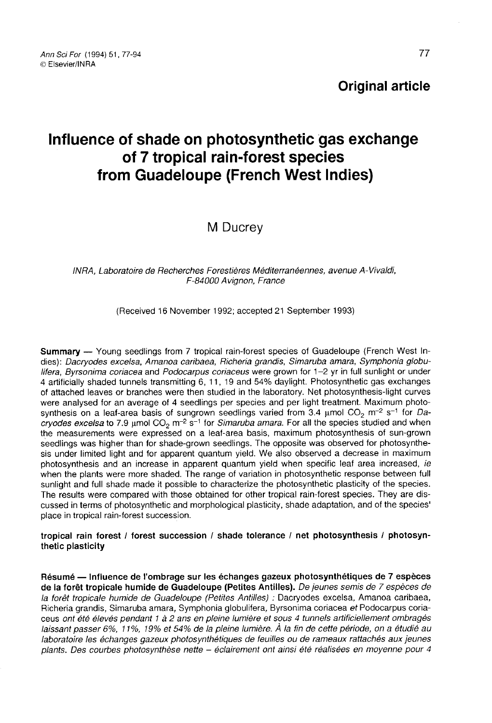## Original article

# Influence of shade on photosynthetic gas exchange of 7 tropical rain-forest species from Guadeloupe (French West Indies)

M Ducrey

#### INRA, Laboratoire de Recherches Forestières Méditerranéennes, avenue A-Vivaldi, F-84000 Avignon, France

(Received 16 November 1992; accepted 21 September 1993)

Summary — Young seedlings from 7 tropical rain-forest species of Guadeloupe (French West Indies): Dacryodes excelsa, Amanoa caribaea, Richeria grandis, Simaruba amara, Symphonia globulifera, Byrsonima coriacea and Podocarpus coriaceus were grown for 1–2 yr in full sunlight or under 4 artificially shaded tunnels transmitting 6, 11, 19 and 54% daylight. Photosynthetic gas exchanges of attached leaves or branches were then studied in the laboratory. Net photosynthesis-light curves were analysed for an average of 4 seedlings per species and per light treatment. Maximum photosynthesis on a leaf-area basis of sungrown seedlings varied from 3.4  $\mu$ mol CO<sub>2</sub> m<sup>-2</sup> s<sup>-1</sup> for Dacryodes excelsa to 7.9 µmol  $CO<sub>2</sub>$  m<sup>-2</sup> s<sup>-1</sup> for Simaruba amara. For all the species studied and when the measurements were expressed on a leaf-area basis, maximum photosynthesis of sun-grown seedlings was higher than for shade-grown seedlings. The opposite was observed for photosynthesis under limited light and for apparent quantum yield. We also observed a decrease in maximum photosynthesis and an increase in apparent quantum yield when specific leaf area increased, ie when the plants were more shaded. The range of variation in photosynthetic response between full sunlight and full shade made it possible to characterize the photosynthetic plasticity of the species. The results were compared with those obtained for other tropical rain-forest species. They are discussed in terms of photosynthetic and morphological plasticity, shade adaptation, and of the species' place in tropical rain-forest succession.

#### tropical rain forest / forest succession / shade tolerance / net photosynthesis / photosynthetic plasticity

Résumé — Influence de l'ombrage sur les échanges gazeux photosynthétiques de 7 espèces de la forêt tropicale humide de Guadeloupe (Petites Antilles). De jeunes semis de 7 espèces de la forêt tropicale humide de Guadeloupe (Petites Antilles) : Dacryodes excelsa, Amanoa caribaea, Richeria grandis, Simaruba amara, Symphonia globulifera, Byrsonima coriacea et Podocarpus coriaceus ont été élevés pendant 1 à 2 ans en pleine lumière et sous 4 tunnels artificiellement ombragés laissant passer 6%, 11%, 19% et 54% de la pleine lumière. À la fin de cette période, on a étudié au laboratoire les échanges gazeux photosynthétiques de feuilles ou de rameaux rattachés aux jeunes plants. Des courbes photosynthèse nette - éclairement ont ainsi été réalisées en moyenne pour 4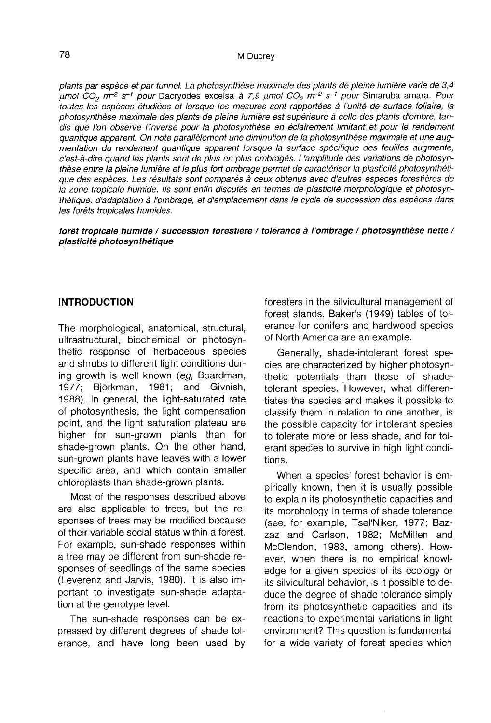plants par espèce et par tunnel. La photosynthèse maximale des plants de pleine lumière varie de 3,4 μmol CO<sub>2</sub> m<sup>-2</sup> s<sup>-1</sup> pour Dacryodes excelsa à 7,9 μmol CO<sub>2</sub> m<sup>-2</sup> s<sup>-1</sup> pour Simaruba amara. Pour toutes les espèces étudiées et lorsque les mesures sont rapportées à l'unité de surface foliaire, la photosynthèse maximale des plants de pleine lumière est supérieure à celle des plants d'ombre, tandis que l'on observe l'inverse pour la photosynthèse en éclairement limitant et pour le rendement quantique apparent. On note parallèlement une diminution de la photosynthèse maximale et une augmentation du rendement quantique apparent lorsque la surface spécifique des feuilles augmente, c'est-à-dire quand les plants sont de plus en plus ombragés. L'amplitude des variations de photosynthèse entre la pleine lumière et le plus fort ombrage permet de caractériser la plasticité photosynthétique des espèces. Les résultats sont comparés à ceux obtenus avec d'autres espèces forestières de la zone tropicale humide. Ils sont enfin discutés en termes de plasticité morphologique et photosynthétique, d'adaptation à l'ombrage, et d'emplacement dans le cycle de succession des espèces dans les forêts tropicales humides.

#### forêt tropicale humide / succession forestière / tolérance à l'ombrage / photosynthèse nette / plasticité photosynthétique

#### INTRODUCTION

The morphological, anatomical, structural, ultrastructural, biochemical or photosynthetic response of herbaceous species and shrubs to different light conditions during growth is well known (eg, Boardman, 1977; Björkman, 1981; and Givnish, 1988). In general, the light-saturated rate of photosynthesis, the light compensation point, and the light saturation plateau are higher for sun-grown plants than for shade-grown plants. On the other hand, sun-grown plants have leaves with a lower specific area, and which contain smaller chloroplasts than shade-grown plants.

Most of the responses described above are also applicable to trees, but the responses of trees may be modified because of their variable social status within a forest. For example, sun-shade responses within a tree may be different from sun-shade responses of seedlings of the same species (Leverenz and Jarvis, 1980). It is also important to investigate sun-shade adaptation at the genotype level.

The sun-shade responses can be expressed by different degrees of shade tolerance, and have long been used by foresters in the silvicultural management of forest stands. Baker's (1949) tables of tolerance for conifers and hardwood species of North America are an example.

Generally, shade-intolerant forest species are characterized by higher photosynthetic potentials than those of shadetolerant species. However, what differentiates the species and makes it possible to classify them in relation to one another, is the possible capacity for intolerant species to tolerate more or less shade, and for tolerant species to survive in high light conditions.

When a species' forest behavior is empirically known, then it is usually possible to explain its photosynthetic capacities and its morphology in terms of shade tolerance (see, for example, Tsel'Niker, 1977; Bazzaz and Carlson, 1982; McMillen and McClendon, 1983, among others). However, when there is no empirical knowledge for a given species of its ecology or its silvicultural behavior, is it possible to deduce the degree of shade tolerance simply from its photosynthetic capacities and its reactions to experimental variations in light environment? This question is fundamental for a wide variety of forest species which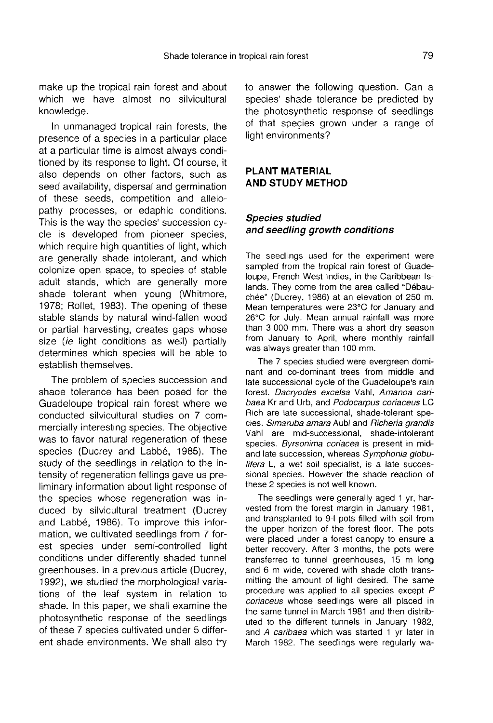make up the tropical rain forest and about which we have almost no silvicultural knowledge.

In unmanaged tropical rain forests, the presence of a species in a particular place at a particular time is almost always conditioned by its response to light. Of course, it also depends on other factors, such as seed availability, dispersal and germination of these seeds, competition and allelopathy processes, or edaphic conditions. This is the way the species' succession cycle is developed from pioneer species, which require high quantities of light, which are generally shade intolerant, and which colonize open space, to species of stable adult stands, which are generally more shade tolerant when young (Whitmore, 1978; Rollet, 1983). The opening of these stable stands by natural wind-fallen wood or partial harvesting, creates gaps whose size (ie light conditions as well) partially determines which species will be able to establish themselves.

The problem of species succession and shade tolerance has been posed for the Guadeloupe tropical rain forest where we conducted silvicultural studies on 7 commercially interesting species. The objective was to favor natural regeneration of these species (Ducrey and Labbé, 1985). The study of the seedlings in relation to the intensity of regeneration fellings gave us preliminary information about light response of the species whose regeneration was induced by silvicultural treatment (Ducrey and Labbé, 1986). To improve this information, we cultivated seedlings from 7 forest species under semi-controlled light conditions under differently shaded tunnel greenhouses. In a previous article (Ducrey, 1992), we studied the morphological variations of the leaf system in relation to shade. In this paper, we shall examine the photosynthetic response of the seedlings of these 7 species cultivated under 5 different shade environments. We shall also try to answer the following question. Can a species' shade tolerance be predicted by the photosynthetic response of seedlings of that species grown under a range of light environments?

#### PLANT MATERIAL AND STUDY METHOD

#### Species studied and seedling growth conditions

The seedlings used for the experiment were sampled from the tropical rain forest of Guadeloupe, French West Indies, in the Caribbean Islands. They come from the area called "Débauchée" (Ducrey, 1986) at an elevation of 250 m. Mean temperatures were 23°C for January and 26°C for July. Mean annual rainfall was more than 3 000 mm. There was a short dry season from January to April, where monthly rainfall was always greater than 100 mm.

The 7 species studied were evergreen dominant and co-dominant trees from middle and late successional cycle of the Guadeloupe's rain forest. Dacryodes excelsa Vahl, Amanoa caribaea Kr and Urb, and Podocarpus coriaceus LC Rich are late successional, shade-tolerant species. Simaruba amara Aubl and Richeria grandis Vahl are mid-successional, shade-intolerant species. Byrsonima coriacea is present in midand late succession, whereas Symphonia globulifera L, a wet soil specialist, is a late successional species. However the shade reaction of these 2 species is not well known.

The seedlings were generally aged 1 yr, harvested from the forest margin in January 1981, and transplanted to 9-I pots filled with soil from the upper horizon of the forest floor. The pots were placed under a forest canopy to ensure a better recovery. After 3 months, the pots were transferred to tunnel greenhouses, 15 m long and 6 m wide, covered with shade cloth transmitting the amount of light desired. The same procedure was applied to all species except P coriaceus whose seedlings were all placed in the same tunnel in March 1981 and then distributed to the different tunnels in January 1982, and A caribaea which was started 1 yr later in March 1982. The seedlings were regularly wa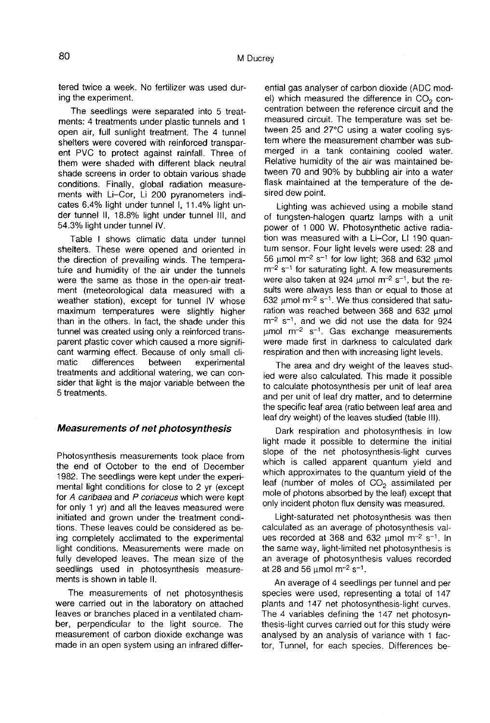tered twice a week. No fertilizer was used during the experiment.

The seedlings were separated into 5 treatments: 4 treatments under plastic tunnels and 1 open air, full sunlight treatment. The 4 tunnel<br>shelters were covered with reinforced transparent PVC to protect against rainfall. Three of them were shaded with different black neutral shade screens in order to obtain various shade conditions. Finally, global radiation measurements with Li-Cor, Li 200 pyranometers indicates 6.4% light under tunnel I, 11.4% light under tunnel II, 18.8% light under tunnel III, and 54.3% light under tunnel IV.

Table I shows climatic data under tunnel shelters. These were opened and oriented in the direction of prevailing winds. The temperature and humidity of the air under the tunnels were the same as those in the open-air treatment (meteorological data measured with a weather station), except for tunnel IV whose maximum temperatures were slightly higher than in the others. In fact, the shade under this tunnel was created using only a reinforced transparent plastic cover which caused a more signifi cant warming effect. Because of only small cli-<br>matic differences between experimental matic differences between experimental treatments and additional watering, we can consider that light is the major variable between the 5 treatments.

#### Measurements of net photosynthesis

Photosynthesis measurements took place from the end of October to the end of December 1982. The seedlings were kept under the experimental light conditions for close to 2 yr (except for A caribaea and P coriaceus which were kept for only 1 yr) and all the leaves measured were initiated and grown under the treatment conditions. These leaves could be considered as being completely acclimated to the experimental light conditions. Measurements were made on fully developed leaves. The mean size of the seedlings used in photosynthesis measurements is shown in table II.

The measurements of net photosynthesis were carried out in the laboratory on attached leaves or branches placed in a ventilated chamber, perpendicular to the light source. The measurement of carbon dioxide exchange was made in an open system using an infrared differ-

ential gas analyser of carbon dioxide (ADC mod-<br>el) which measured the difference in  $CO<sub>2</sub>$  con-<br>centration between the reference circuit and the centration between the reference circuit and the measured circuit. The temperature was set between 25 and 27°C using a water cooling sys tem where the measurement chamber was submerged in a tank containing cooled water. Relative humidity of the air was maintained between 70 and 90% by bubbling air into a water flask maintained at the temperature of the desired dew point.

Lighting was achieved using a mobile stand of tungsten-halogen quartz lamps with a unit power of 1 000 W. Photosynthetic active radiation was measured with a Li-Cor, LI 190 quantum sensor. Four light levels were used: 28 and 56 μmol m<sup>-2</sup> s<sup>-1</sup> for low light; 368 and 632 μmol m<sup>-2</sup> s<sup>-1</sup> for saturating light. A few measurements were also taken at 924  $\mu$ mol m<sup>-2</sup> s<sup>-1</sup>, but the results were always less than or equal to those at 632  $\mu$ mol m<sup>-2</sup> s<sup>-1</sup>. We thus considered that satu-<br>ration was reached between 368 and 632  $\mu$ mol  $m<sup>-2</sup>$  s<sup>-1</sup>, and we did not use the data for 924  $μ$ mol m<sup>-2</sup> s<sup>-1</sup>. Gas exchange measurements were made first in darkness to calculated dark respiration and then with increasing light levels.

The area and dry weight of the leaves studied were also calculated. This made it possible to calculate photosynthesis per unit of leaf area and per unit of leaf dry matter, and to determine the specific leaf area (ratio between leaf area and leaf dry weight) of the leaves studied (table III).

Dark respiration and photosynthesis in low light made it possible to determine the initial slope of the net photosynthesis-light curves which is called apparent quantum yield and which approximates to the quantum yield of the leaf (number of moles of  $CO<sub>2</sub>$  assimilated per mole of photons absorbed by the leaf) except that only incident photon flux density was measured.

Light-saturated net photosynthesis was then calculated as an average of photosynthesis val-ues recorded at 368 and 632 μmol m-2 s-1. In the same way, light-limited net photosynthesis is an average of photosynthesis values recorded at 28 and 56 μmol  $m<sup>-2</sup> s<sup>-1</sup>$ .

An average of 4 seedlings per tunnel and per species were used, representing a total of 147 plants and 147 net photosynthesis-light curves. The 4 variables defining the 147 net photosynthesis-light curves carried out for this study were analysed by an analysis of variance with 1 factor, Tunnel, for each species. Differences be-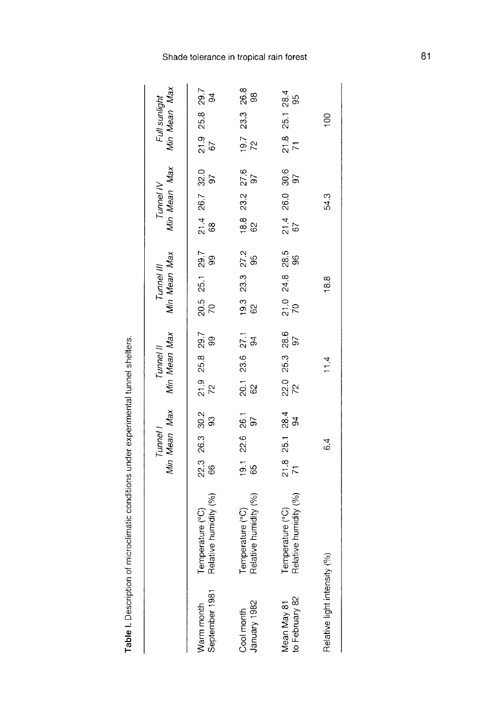|   | l                                          |
|---|--------------------------------------------|
|   |                                            |
|   |                                            |
|   |                                            |
|   |                                            |
|   |                                            |
|   |                                            |
|   |                                            |
|   |                                            |
|   |                                            |
|   |                                            |
|   |                                            |
|   |                                            |
|   |                                            |
|   |                                            |
|   |                                            |
|   |                                            |
|   |                                            |
|   |                                            |
|   | ֖֖֖֖֖֖֧ׅ֪ׅ֪ׅ֪֪֪ׅ֖֚֚֚֚֚֚֚֚֚֚֚֚֚֚֚֚֚֚֚֚֚֚֬֝֝ |
|   |                                            |
| i |                                            |
|   |                                            |
|   |                                            |
|   | i                                          |
|   |                                            |
|   |                                            |
|   |                                            |
|   |                                            |
|   |                                            |
|   |                                            |
|   |                                            |
|   |                                            |
|   |                                            |
|   |                                            |
|   |                                            |
|   | e es microsoft                             |
|   |                                            |
|   |                                            |
|   |                                            |
|   |                                            |
|   |                                            |
|   |                                            |
|   |                                            |
|   |                                            |
|   |                                            |
| ĺ |                                            |
|   |                                            |
|   |                                            |
|   |                                            |
|   |                                            |
|   |                                            |
| l |                                            |

|                               |                                           |                           |                 | Tunnel I<br>Min Mean Max |                           | Tunnel II<br>Min Mean Max |  | Tunnel III<br>Min Mean Max |  |                           | Tunnel IV<br>Min Mean Max |                   | Min Mean Max<br>Full sunlight |                 |  |
|-------------------------------|-------------------------------------------|---------------------------|-----------------|--------------------------|---------------------------|---------------------------|--|----------------------------|--|---------------------------|---------------------------|-------------------|-------------------------------|-----------------|--|
| September 1981<br>Narm month  | Temperature (°C)<br>Relative humidity (%) | 22.3 26.3 30.2<br>66 93   |                 |                          | $21.9$ 25.8 29.7<br>72 99 |                           |  | 20.5 25.1 29.7<br>70 99    |  | $21.4$ 26.7 32.0<br>68 97 |                           |                   | $21.9$ 25.8 29.7<br>67 94     |                 |  |
| January 1982<br>Cool month    | Relative humidity (%)<br>emperature (°C)  | $19.1$ 22.6 26.1<br>65 97 |                 |                          |                           | 23.6 27.1<br>94           |  | $19.3$ 23.3 27.2<br>62 95  |  | $18.8$ 23.2 27.6<br>62 97 |                           | $\frac{19.7}{72}$ |                               | 23.3 26.8<br>98 |  |
| to February 82<br>Mean May 81 | Relative humidity (%)<br>emperature (°C)  | $\frac{21.8}{71}$         | 25.1 28.4<br>94 |                          |                           | $22.0$ 25.3 28.6<br>72 97 |  | $21.0$ 24.8 28.5<br>70 96  |  | $21.4$ 26.0 30.6<br>67    |                           | $\frac{21.8}{71}$ | 25.1 28.4<br>95               |                 |  |
| Relative light intensity      | (%)                                       |                           | 6.4             |                          |                           | 11.4                      |  | 18.8                       |  | 543                       |                           |                   | $\frac{8}{1}$                 |                 |  |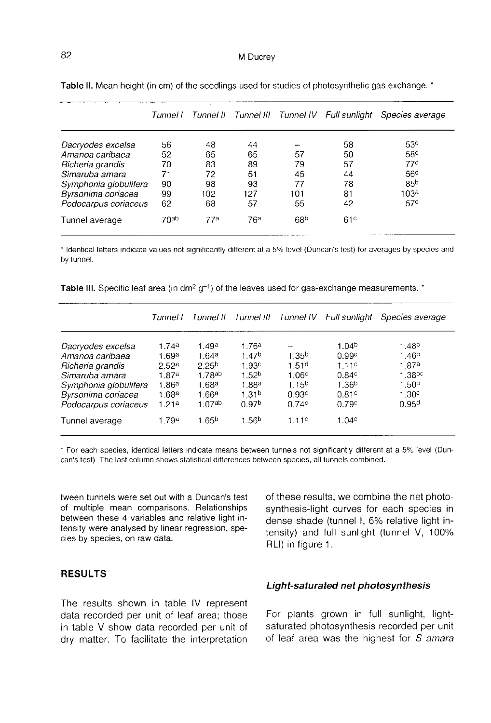|                       | Tunnel I         |                 |                 |                 | Tunnel II Tunnel III Tunnel IV Full sunlight | Species average |
|-----------------------|------------------|-----------------|-----------------|-----------------|----------------------------------------------|-----------------|
| Dacryodes excelsa     | 56               | 48              | 44              |                 | 58                                           | 53 <sup>d</sup> |
| Amanoa caribaea       | 52               | 65              | 65              | 57              | 50                                           | 58 <sup>d</sup> |
| Richeria grandis      | 70               | 83              | 89              | 79              | 57                                           | 77c             |
| Simaruba amara        | 71               | 72              | 51              | 45              | 44                                           | 56 <sup>d</sup> |
| Symphonia globulifera | 90               | 98              | 93              | 77              | 78                                           | 85 <sup>b</sup> |
| Byrsonima coriacea    | 99               | 102             | 127             | 101             | 81                                           | 103ª            |
| Podocarpus coriaceus  | 62               | 68              | 57              | 55              | 42                                           | 57 <sup>d</sup> |
| Tunnel average        | 70 <sub>ab</sub> | 77 <sup>a</sup> | 76 <sup>a</sup> | 68 <sup>b</sup> | 61 <sup>c</sup>                              |                 |

Table II. Mean height (in cm) of the seedlings used for studies of photosynthetic gas exchange. \*

\* Identical letters indicate values not significantly different at a 5% level (Duncan's test) for averages by species and by tunnel.

| Table III. Specific leaf area (in $dm^2 g^{-1}$ ) of the leaves used for gas-exchange measurements. |
|-----------------------------------------------------------------------------------------------------|
|-----------------------------------------------------------------------------------------------------|

|                                                                                                                                                   | Tunnel I                                                                                                  | Tunnel II                                                                 |                                                                                                                         |                                                                                        | Tunnel III Tunnel IV Full sunlight                                                  | Species average                                                                                                                      |
|---------------------------------------------------------------------------------------------------------------------------------------------------|-----------------------------------------------------------------------------------------------------------|---------------------------------------------------------------------------|-------------------------------------------------------------------------------------------------------------------------|----------------------------------------------------------------------------------------|-------------------------------------------------------------------------------------|--------------------------------------------------------------------------------------------------------------------------------------|
| Dacryodes excelsa<br>Amanoa caribaea<br>Richeria grandis<br>Simaruba amara<br>Symphonia globulifera<br>Byrsonima coriacea<br>Podocarpus coriaceus | 1.74 <sup>a</sup><br>1.69a<br>2.52 <sup>a</sup><br>1.87ª<br>1.86 $^{\rm a}$<br>1.68 <sup>a</sup><br>1.21a | 1.49a<br>1.64a<br>2.25 <sup>b</sup><br>1.78ab<br>1.68a<br>1.66a<br>1.07ab | 1.76ª<br>1.47 <sup>b</sup><br>1.93 <sup>c</sup><br>1.52 <sup>b</sup><br>1.88a<br>1.31 <sup>b</sup><br>0.97 <sup>b</sup> | 1.35 <sup>b</sup><br>1.51 <sup>d</sup><br>1.06c<br>1.15 <sup>b</sup><br>0.93c<br>0.74c | 1.04 <sup>b</sup><br>0.99c<br>1.11c<br>0.84c<br>1.36 <sup>b</sup><br>0.81c<br>0.79c | 1.48 <sup>b</sup><br>1.46 <sup>b</sup><br>1.87a<br>1.38 <sup>bc</sup><br>1.50 <sup>b</sup><br>1.30 <sup>c</sup><br>0.95 <sup>d</sup> |
| Tunnel average                                                                                                                                    | 1.79a                                                                                                     | 1.65 <sup>b</sup>                                                         | 1.56 <sup>b</sup>                                                                                                       | 1.11c                                                                                  | 1.04 <sup>c</sup>                                                                   |                                                                                                                                      |

\* For each species, identical letters indicate means between tunnels not significantly different at a 5% level (Duncan's test). The last column shows statistical differences between species, all tunnels combined.

tween tunnels were set out with a Duncan's test of multiple mean comparisons. Relationships between these 4 variables and relative light intensity were analysed by linear regression, species by species, on raw data.

### RESULTS

The results shown in table IV represent data recorded per unit of leaf area; those in table V show data recorded per unit of dry matter. To facilitate the interpretation

of these results, we combine the net photosynthesis-light curves for each species in dense shade (tunnel I, 6% relative light intensity) and full sunlight (tunnel V, 100% RLI) in figure 1.

#### Light-saturated net photosynthesis

For plants grown in full sunlight, lightsaturated photosynthesis recorded per unit of leaf area was the highest for S amara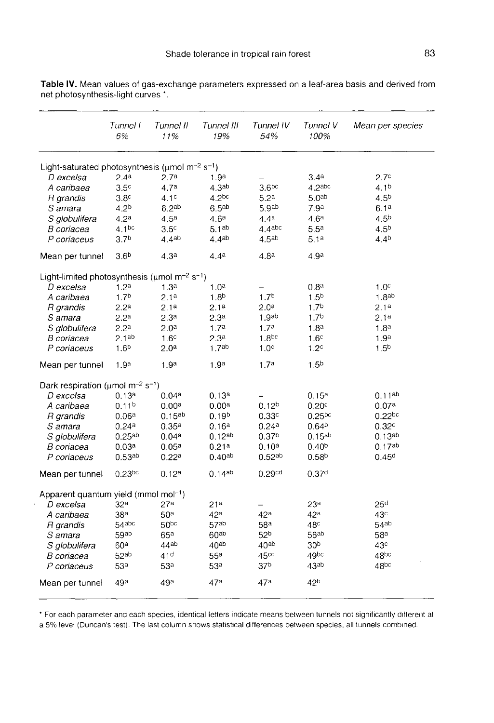|                                                                              | Tunnel I<br>6%     | Tunnel II<br>11%  | Tunnel III<br>19%  | Tunnel IV<br>54%   | Tunnel V<br>100%   | Mean per species  |
|------------------------------------------------------------------------------|--------------------|-------------------|--------------------|--------------------|--------------------|-------------------|
| Light-saturated photosynthesis ( $\mu$ mol m <sup>-2</sup> s <sup>-1</sup> ) |                    |                   |                    |                    |                    |                   |
| D excelsa                                                                    | 2.4a               | 2.7 <sup>a</sup>  | 1.9 <sup>a</sup>   |                    | 3.4 <sup>a</sup>   | 2.7 <sup>c</sup>  |
| A caribaea                                                                   | 3.5 <sup>c</sup>   | 4.7 <sup>a</sup>  | 4.3 <sup>ab</sup>  | 3.6 <sup>bc</sup>  | 4.2abc             | 4.1 <sup>b</sup>  |
| R grandis                                                                    | 3.8 <sup>c</sup>   | 4.1 <sup>c</sup>  | 4.2 <sup>bc</sup>  | 5.2 <sup>a</sup>   | 5.0 <sup>ab</sup>  | 4.5 <sup>b</sup>  |
| S amara                                                                      | 4.2 <sup>b</sup>   | 6.2 <sup>ab</sup> | 6.5 <sup>ab</sup>  | 5.9 <sup>ab</sup>  | 7.9 <sup>a</sup>   | 6.1 <sup>a</sup>  |
| S globulifera                                                                | 4.2 <sup>a</sup>   | 4.5 <sup>a</sup>  | 4.6 <sup>a</sup>   | 4.4 <sup>a</sup>   | 4.6 <sup>a</sup>   | 4.5 <sup>b</sup>  |
| B coriacea                                                                   | 4.1 <sup>bc</sup>  | 3.5 <sup>c</sup>  | 5.1 <sup>ab</sup>  | 4.4abc             | 5.5 <sup>a</sup>   | 4.5 <sup>b</sup>  |
| P coriaceus                                                                  | 3.7 <sup>b</sup>   | 4.4ab             | 4.4 <sup>ab</sup>  | 4.5 <sup>ab</sup>  | 5.1a               | $4.4^{b}$         |
| Mean per tunnel                                                              | 3.6 <sup>b</sup>   | 4.3 <sup>a</sup>  | 4.4 <sup>a</sup>   | 4.8 <sup>a</sup>   | 4.9 <sup>a</sup>   |                   |
| Light-limited photosynthesis ( $\mu$ mol m <sup>-2</sup> s <sup>-1</sup> )   |                    |                   |                    |                    |                    |                   |
| D excelsa                                                                    | 1.2 <sup>a</sup>   | 1.3 <sup>a</sup>  | 1.0 <sup>a</sup>   |                    | 0.8 <sup>a</sup>   | 1.0 <sup>c</sup>  |
| A caribaea                                                                   | 1.7 <sup>b</sup>   | 2.1 <sup>a</sup>  | 1.8 <sup>b</sup>   | 1.7 <sup>b</sup>   | 1.5 <sup>b</sup>   | 1.8 <sup>ab</sup> |
| R grandis                                                                    | 2.2 <sup>a</sup>   | 2.1a              | 2.1 <sup>a</sup>   | 2.0 <sup>a</sup>   | 1.7 <sup>b</sup>   | 2.1a              |
| S amara                                                                      | 2.2 <sup>a</sup>   | 2.3 <sup>a</sup>  | 2.3 <sup>a</sup>   | 1.9 <sup>ab</sup>  | 1.7 <sup>b</sup>   | 2.1a              |
| S globulifera                                                                | 2.2 <sup>a</sup>   | 2.0 <sup>a</sup>  | 1.7 <sup>a</sup>   | 1.7 <sup>a</sup>   | 1.8 <sup>a</sup>   | 1.8 <sup>a</sup>  |
| <i>B coriacea</i>                                                            | 2.1 <sup>ab</sup>  | 1.6 <sup>c</sup>  | 2.3 <sup>a</sup>   | 1.8 <sup>bc</sup>  | 1.6 <sup>c</sup>   | 1.9 <sup>a</sup>  |
| P coriaceus                                                                  | 1.6 <sup>b</sup>   | $2.0^{\rm a}$     | 1.7 <sup>ab</sup>  | 1.0 <sup>c</sup>   | 1.2 <sup>c</sup>   | 1.5 <sup>b</sup>  |
| Mean per tunnel                                                              | 1.9 <sup>a</sup>   | 1.9 <sup>a</sup>  | 1.9 <sup>a</sup>   | 1.7 <sup>a</sup>   | 1.5 <sup>b</sup>   |                   |
| Dark respiration ( $\mu$ mol m <sup>-2</sup> s <sup>-1</sup> )               |                    |                   |                    |                    |                    |                   |
| D excelsa                                                                    | 0.13a              | 0.04a             | 0.13a              |                    | 0.15a              | $0.11^{ab}$       |
| A caribaea                                                                   | 0.11 <sup>b</sup>  | 0.00a             | 0.00 <sup>a</sup>  | 0.12 <sup>b</sup>  | 0.20 <sup>c</sup>  | 0.07a             |
| R grandis                                                                    | 0.06a              | $0.15^{ab}$       | 0.19 <sup>b</sup>  | 0.33c              | 0.25 <sub>pc</sub> | $0.22$ bc         |
| S amara                                                                      | 0.24a              | 0.35a             | 0.16a              | 0.24a              | 0.64 <sup>b</sup>  | 0.32 <sup>c</sup> |
| S globulifera                                                                | 0.25ab             | 0.04a             | $0.12^{ab}$        | 0.37 <sup>b</sup>  | $0.15^{ab}$        | 0.13ab            |
| B coriacea                                                                   | 0.03a              | 0.05a             | 0.21a              | 0.10a              | 0.40 <sup>b</sup>  | 0.17ab            |
| P coriaceus                                                                  | 0.53 <sup>ab</sup> | 0.22a             | 0.40 <sup>ab</sup> | $0.52^{ab}$        | 0.58 <sup>b</sup>  | 0.45 <sup>d</sup> |
| Mean per tunnel                                                              | $0.23$ bc          | 0.12 <sup>a</sup> | $0.14^{ab}$        | 0.29 <sup>cd</sup> | 0.37 <sup>d</sup>  |                   |
| Apparent quantum yield (mmol mol-1)                                          |                    |                   |                    |                    |                    |                   |
| D excelsa                                                                    | 32 <sup>a</sup>    | 27a               | 21ª                |                    | 23ª                | 25 <sup>d</sup>   |
| A caribaea                                                                   | 38ª                | 50 <sup>a</sup>   | 42 <sup>a</sup>    | 42 <sup>a</sup>    | 42 <sup>a</sup>    | 43 <sup>c</sup>   |
| R grandis                                                                    | $54$ abc           | 50 <sub>pc</sub>  | 57 <sub>ab</sub>   | 58 <sup>a</sup>    | 48 <sup>c</sup>    | 54ab              |
| S amara                                                                      | 59 <sup>ab</sup>   | 65a               | $60^{ab}$          | 52 <sup>b</sup>    | 56 <sup>ab</sup>   | 58 <sup>a</sup>   |
| S globulifera                                                                | 60ª                | 44 <sup>ab</sup>  | $40^{ab}$          | 40 <sup>ab</sup>   | 30b                | 43 <sup>c</sup>   |
| B coriacea                                                                   | 52ab               | 41 <sup>d</sup>   | 55a                | 45 <sup>cd</sup>   | 49 <sub>pc</sub>   | 48 <sub>pc</sub>  |
| P coriaceus                                                                  | 53ª                | 53ª               | 53 <sup>a</sup>    | 37b                | 43ab               | 48bc              |
| Mean per tunnel                                                              | 49a                | 49a               | 47a                | 47a                | 42b                |                   |

Table IV. Mean values of gas-exchange parameters expressed on a leaf-area basis and derived from net photosynthesis-light curves \*.

\* For each parameter and each species, identical letters indicate means between tunnels not significantly different at a 5% level (Duncan's test). The last column shows statistical differences between species, all tunnels combined.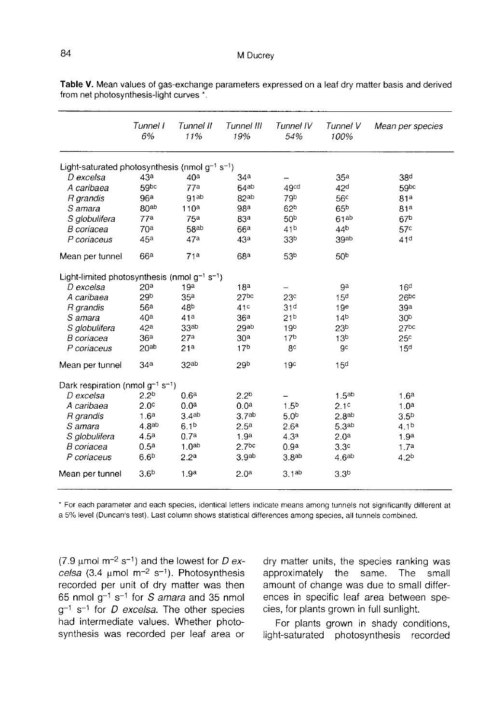|                                                                 | Tunnel I<br>6%    | Tunnel II<br>11%  | Tunnel III<br>19% | Tunnel IV<br>54%  | Tunnel V<br>100%  | Mean per species |
|-----------------------------------------------------------------|-------------------|-------------------|-------------------|-------------------|-------------------|------------------|
| Light-saturated photosynthesis (nmol $q^{-1}$ s <sup>-1</sup> ) |                   |                   |                   |                   |                   |                  |
| D excelsa                                                       | 43a               | 40 <sup>a</sup>   | 34 <sup>a</sup>   |                   | 35 <sup>a</sup>   | 38 <sup>d</sup>  |
| A caribaea                                                      | 59bc              | 77a               | 64ab              | 49cd              | 42 <sup>d</sup>   | 59bc             |
| R grandis                                                       | 96 <sup>a</sup>   | 91ab              | 82ab              | 79b               | 56 <sup>c</sup>   | 81a              |
| S amara                                                         | 80 <sup>ab</sup>  | 110 <sup>a</sup>  | 98 <sup>a</sup>   | 62 <sup>b</sup>   | 65 <sup>b</sup>   | 81a              |
| S globulifera                                                   | 77 <sup>a</sup>   | 75 <sup>a</sup>   | 83ª               | 50 <sup>b</sup>   | 61ab              | 67 <sup>b</sup>  |
| B coriacea                                                      | 70 <sup>a</sup>   | 58ab              | 66 <sup>a</sup>   | 41 <sup>b</sup>   | 44b               | 57 <sup>c</sup>  |
| P coriaceus                                                     | 45a               | 47a               | 43ª               | 33 <sub>p</sub>   | 39ab              | 41 <sup>d</sup>  |
| Mean per tunnel                                                 | 66 <sup>a</sup>   | 71a               | 68a               | 53 <sub>b</sub>   | 50 <sup>b</sup>   |                  |
| Light-limited photosynthesis (nmol $q^{-1}$ s <sup>-1</sup> )   |                   |                   |                   |                   |                   |                  |
| D excelsa                                                       | 20 <sup>a</sup>   | 19a               | 18a               |                   | 9a                | 16 <sup>d</sup>  |
| A caribaea                                                      | 29 <sup>b</sup>   | 35 <sup>a</sup>   | 27 <sub>bc</sub>  | 23 <sup>c</sup>   | 15 <sup>d</sup>   | 26 <sub>pc</sub> |
| R grandis                                                       | 56a               | 48b               | 41c               | 31 <sup>d</sup>   | 19 <sup>e</sup>   | 39a              |
| S amara                                                         | 40 <sup>a</sup>   | 41a               | 36 <sup>a</sup>   | 21 <sub>b</sub>   | 14 <sub>b</sub>   | 30 <sup>b</sup>  |
| S globulifera                                                   | 42 <sup>a</sup>   | 33 <sub>ab</sub>  | 29ab              | 19 <sub>b</sub>   | 23 <sup>b</sup>   | 27 <sub>bc</sub> |
| B coriacea                                                      | 36 <sup>a</sup>   | 27 <sup>a</sup>   | 30 <sup>a</sup>   | 17 <sup>b</sup>   | 13 <sup>b</sup>   | 25 <sup>c</sup>  |
| P coriaceus                                                     | 20 <sub>ab</sub>  | 21 <sup>a</sup>   | 17 <sub>b</sub>   | 8c                | 9c                | 15 <sup>d</sup>  |
| Mean per tunnel                                                 | 34 <sup>a</sup>   | 32ab              | 29b               | 19 <sup>c</sup>   | 15 <sup>d</sup>   |                  |
| Dark respiration (nmol $g^{-1}$ s <sup>-1</sup> )               |                   |                   |                   |                   |                   |                  |
| D excelsa                                                       | 2.2 <sup>b</sup>  | 0.6 <sup>a</sup>  | 2.2 <sup>b</sup>  |                   | 1.5 <sup>ab</sup> | 1.6 <sup>a</sup> |
| A caribaea                                                      | 2.0 <sup>c</sup>  | 0.0 <sup>a</sup>  | 0.0 <sup>a</sup>  | 1.5 <sup>b</sup>  | 2.1 <sup>c</sup>  | 1.0 <sup>a</sup> |
| R grandis                                                       | 1.6 <sup>a</sup>  | 3.4 <sup>ab</sup> | 3.7 <sup>ab</sup> | 5.0 <sup>b</sup>  | 2.8 <sub>ab</sub> | 3.5 <sup>b</sup> |
| S amara                                                         | 4.8 <sup>ab</sup> | 6.1 <sup>b</sup>  | 2.5 <sup>a</sup>  | 2.6 <sup>a</sup>  | 5.3 <sup>ab</sup> | 4.1 <sup>b</sup> |
| S globulifera                                                   | 4.5 <sup>a</sup>  | 0.7 <sup>a</sup>  | 1.9 <sup>a</sup>  | 4.3 <sup>a</sup>  | 2.0 <sup>a</sup>  | 1.9 <sup>a</sup> |
| B coriacea                                                      | 0.5 <sup>a</sup>  | 1.0 <sub>ab</sub> | 2.7 <sub>bc</sub> | 0.9 <sup>a</sup>  | 3.3 <sup>c</sup>  | 1.7 <sup>a</sup> |
| P coriaceus                                                     | 6.6 <sup>b</sup>  | 2.2 <sup>a</sup>  | 3.9 <sub>ab</sub> | 3.8 <sup>ab</sup> | 4.6 <sup>ab</sup> | 4.2 <sup>b</sup> |
| Mean per tunnel                                                 | 3.6 <sup>b</sup>  | 1.9 <sup>a</sup>  | 2.0 <sup>a</sup>  | 3.1ab             | 3.3 <sup>b</sup>  |                  |

Table V. Mean values of gas-exchange parameters expressed on a leaf dry matter basis and derived from net photosynthesis-light curves \*.

\* For each parameter and each species, identical letters indicate means among tunnels not significantly different at a 5% level (Duncan's test). Last column shows statistical differences among species, all tunnels combined.

(7.9  $\mu$ mol m<sup>-2</sup> s<sup>-1</sup>) and the lowest for *D ex*-(7.9  $\mu$ mol m<sup>-2</sup> s<sup>-1</sup>) and the lowest for *D ex-*<br>celsa (3.4  $\mu$ mol m<sup>-2</sup> s<sup>-1</sup>). Photosynthesis recorded per unit of dry matter was then 65 nmol  $g^{-1}$  s<sup>-1</sup> for *S amara* and 35 nmol  $g^{-1}$  s<sup>-1</sup> for *D excelsa*. The other species had intermediate values. Whether photosynthesis was recorded per leaf area or

dry matter units, the species ranking was approximately the same. The small amount of change was due to small differences in specific leaf area between species, for plants grown in full sunlight.

For plants grown in shady conditions, light-saturated photosynthesis recorded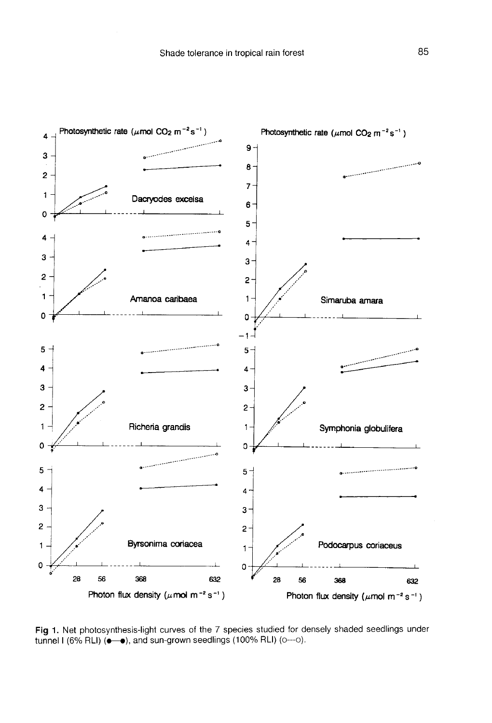

Fig 1. Net photosynthesis-light curves of the 7 species studied for densely shaded seedlings under tunnel I (6% RLI) ( $\bullet\rightarrow$ ), and sun-grown seedlings (100% RLI) (o---o).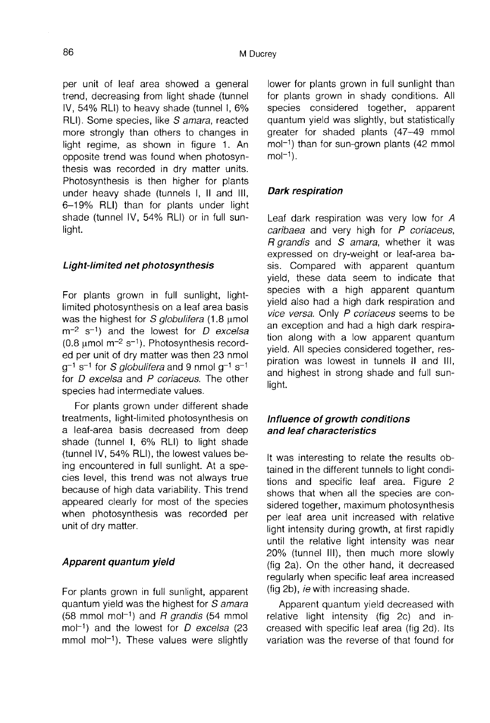per unit of leaf area showed a general trend, decreasing from light shade (tunnel IV, 54% RLI) to heavy shade (tunnel I, 6% RLI). Some species, like S amara, reacted more strongly than others to changes in light regime, as shown in figure 1. An opposite trend was found when photosynthesis was recorded in dry matter units. Photosynthesis is then higher for plants under heavy shade (tunnels I, II and III, 6-19% RLI) than for plants under light shade (tunnel IV, 54% RLI) or in full sunlight.

#### Light-limited net photosynthesis

For plants grown in full sunlight, lightlimited photosynthesis on a leaf area basis<br>was the highest for S globulifera (1.8 umol  $m<sup>-2</sup>$  s<sup>-1</sup>) and the lowest for D excelsa  $(0.8 \text{ umol m}^{-2} \text{ s}^{-1})$ . Photosynthesis recorded per unit of dry matter was then 23 nmol  $q^{-1}$  s<sup>-1</sup> for *S globulifera* and 9 nmol  $q^{-1}$  s<sup>-1</sup> for *D* excelsa and *P* coriaceus. The other species had intermediate values.

For plants grown under different shade treatments, light-limited photosynthesis on a leaf-area basis decreased from deep shade (tunnel I, 6% RLI) to light shade (tunnel IV, 54% RLI), the lowest values being encountered in full sunlight. At a species level, this trend was not always true because of high data variability. This trend appeared clearly for most of the species when photosynthesis was recorded per unit of dry matter.

#### Apparent quantum yield

For plants grown in full sunlight, apparent quantum yield was the highest for *S amara* For plants grown in full sunlight, apparent<br>quantum yield was the highest for *S amara*<br>(58 mmol mol<sup>-1</sup>) and *R grandis* (54 mmol<br>mol<sup>-1</sup>) and the lowest for *D excelsa* (23 (58 mmol mol<sup>-1</sup>) and *R grandis* (54 mmol mol<sup>-1</sup>) and the lowest for *D excelsa* (23  $mmol$  mol<sup>-1</sup>). These values were slightly

lower for plants grown in full sunlight than for plants grown in shady conditions. All species considered together, apparent quantum yield was slightly, but statistically greater for shaded plants (47-49 mmol quantum yield was slightly, but statistically<br>greater for shaded plants (47–49 mmol<br>mol<sup>-1</sup>) than for sun-grown plants (42 mmol<br>mol<sup>-1</sup>) mol<sup>-1</sup>) than for sun-grown plants (42 mmol<br>mol<sup>-1</sup>).

#### Dark respiration

Leaf dark respiration was very low for A caribaea and very high for P coriaceus, R grandis and S amara, whether it was expressed on dry-weight or leaf-area basis. Compared with apparent quantum yield, these data seem to indicate that species with a high apparent quantum yield also had a high dark respiration and vice versa. Only P coriaceus seems to be an exception and had a high dark respiration along with a low apparent quantum yield. All species considered together, respiration was lowest in tunnels II and III, and highest in strong shade and full sunlight.

### Influence of growth conditions and leaf characteristics

It was interesting to relate the results obtained in the different tunnels to light conditions and specific leaf area. Figure 2 shows that when all the species are considered together, maximum photosynthesis per leaf area unit increased with relative light intensity during growth, at first rapidly until the relative light intensity was near 20% (tunnel III), then much more slowly (fig 2a). On the other hand, it decreased regularly when specific leaf area increased (fig 2b), ie with increasing shade.

Apparent quantum yield decreased with relative light intensity (fig 2c) and increased with specific leaf area (fig 2d). Its variation was the reverse of that found for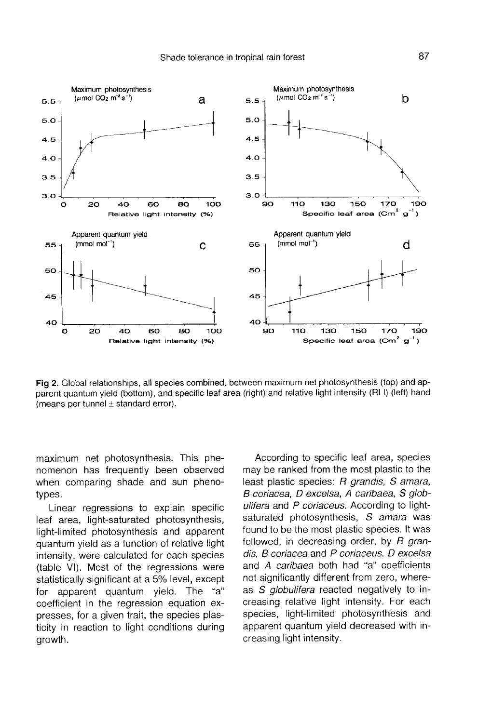

Fig 2. Global relationships, all species combined, between maximum net photosynthesis (top) and apparent quantum yield (bottom), and specific leaf area (right) and relative light intensity (RLI) (left) hand (means per tunnel  $\pm$  standard error).

maximum net photosynthesis. This phe nomenon has frequently been observed when comparing shade and sun phenotypes.

Linear regressions to explain specific leaf area, light-saturated photosynthesis, light-limited photosynthesis and apparent quantum yield as a function of relative light intensity, were calculated for each species (table VI). Most of the regressions were statistically significant at a 5% level, except for apparent quantum yield. The "a" coefficient in the regression equation expresses, for a given trait, the species plasticity in reaction to light conditions during growth.

According to specific leaf area, species may be ranked from the most plastic to the least plastic species: R grandis, S amara, B coriacea, D excelsa, A caribaea, S globulifera and P coriaceus. According to lightsaturated photosynthesis, S amara was found to be the most plastic species. It was followed, in decreasing order, by  $R$  grandis, B coriacea and P coriaceus. D excelsa and A caribaea both had "a" coefficients not significantly different from zero, whereas S globulifera reacted negatively to increasing relative light intensity. For each species, light-limited photosynthesis and apparent quantum yield decreased with increasing light intensity.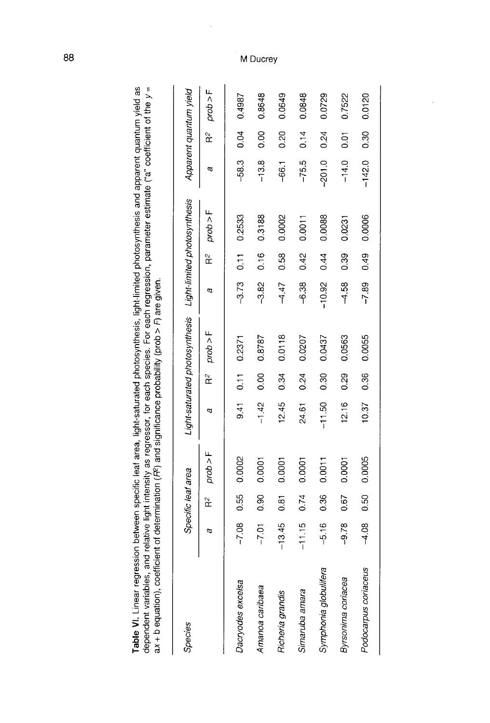| av + D equations coel |          |                    |          |          |                   |                                                             |          |      |          |          |                |                        |
|-----------------------|----------|--------------------|----------|----------|-------------------|-------------------------------------------------------------|----------|------|----------|----------|----------------|------------------------|
| Species               |          | Specific leaf area |          |          |                   | Light-saturated photosynthesis Light-limited photosynthesis |          |      |          |          |                | Apparent quantum yield |
|                       | a        | $\approx$          | prob > F | а        | $R^2$             | prob > F                                                    | a        | ř    | prob > F | a        | $\approx$      | prob > F               |
| Dacryodes excelsa     | $-7.08$  | 0.55               | 0.002    | 9.41     | $\overline{0.11}$ | 0.2371                                                      | $-3.73$  | 0.11 | 0.2533   | $-58.3$  | 0.04           | 0.4987                 |
| Amanoa caribaea       | $-7.01$  | 0.90               | 0.0001   | $-1.42$  | $\frac{0}{0}$     | 0.8787                                                      | $-3.82$  | 0.16 | 0.3188   | $-13.8$  | 0.00           | 0.8648                 |
| Richeria grandis      | $-13.45$ | 0.81               | 0.0001   | 12.45    | 0.34              | 0.0118                                                      | $-4.47$  | 0.58 | 0.0002   | $-66.1$  | 0.20           | 0.0649                 |
| Simaruba amara        | $-11.15$ | 0.74               | 0.0001   | 24.61    | 0.24              | 0.0207                                                      | $-6.38$  | 0.42 | 0.0011   | $-75.5$  | 0.14           | 0.0848                 |
| Symphonia globulifera | $-5.16$  | 0.36               | 0.0011   | $-11.50$ | $\frac{30}{5}$    | 0.0437                                                      | $-10.92$ | 0.44 | 0.0088   | $-201.0$ | 0.24           | 0.0729                 |
| Byrsonima coriacea    | $-9.78$  | 0.67               | 0.0001   | 12.16    | 0.29              | 0.0563                                                      | $-4.58$  | 0.39 | 0.0231   | $-14.0$  | $\overline{0}$ | 0.7522                 |
| Podocarpus coriaceus  | $-4.08$  | 0.50               | 0.0005   | 10.37    | 0.36              | 0.0055                                                      | $-7.89$  | 0.49 | 0.0006   | $-142.0$ | 0.30           | 0.0120                 |
|                       |          |                    |          |          |                   |                                                             |          |      |          |          |                |                        |

dependent variables, and relative light intensity as regressor, for each species. For each regression, parameter estimate ("a" coefficient of the y=<br>ax + h equation) coefficient of determination (E2) and significance proba Table VI. Linear regression between specific leaf area, light-saturated photosynthesis, light-limited photosynthesis and apparent quantum yield as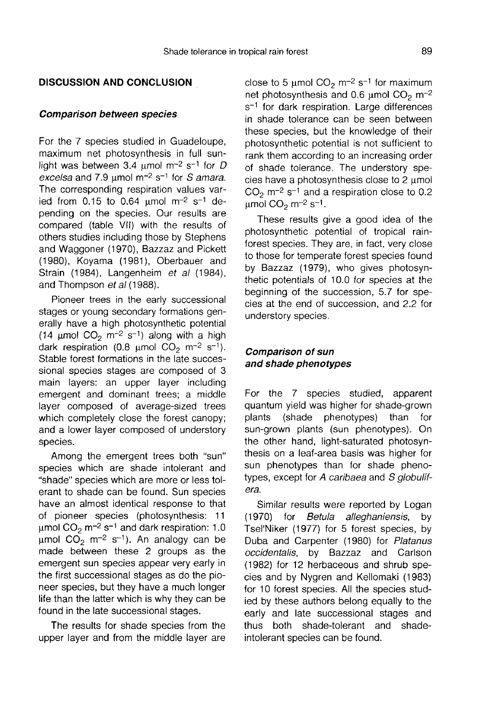#### DISCUSSION AND CONCLUSION

#### Comparison between species

For the 7 species studied in Guadeloupe, maximum net photosynthesis in full sunlight was between 3.4  $\mu$ mol m<sup>-2</sup> s<sup>-1</sup> for D excelsa and 7.9  $\mu$ mol m<sup>-2</sup> s<sup>-1</sup> for *S* amara. The corresponding respiration values varied from 0.15 to 0.64  $\mu$ mol m<sup>-2</sup> s<sup>-1</sup> depending on the species. Our results are compared (table VII) with the results of others studies including those by Stephens and Waggoner (1970), Bazzaz and Pickett (1980), Koyama (1981), Oberbauer and Strain (1984), Langenheim et al (1984), and Thompson et al (1988).

Pioneer trees in the early successional stages or young secondary formations generally have a high photosynthetic potential erally have a high photosynthetic potential<br>(14  $\mu$ mol CO<sub>2</sub> m<sup>-2</sup> s<sup>-1</sup>) along with a high<br>dark regainstian (0.8 umol CO<sub>2</sub> m<sup>-2</sup> s<sup>-1)</sup> (14  $\mu$ mol CO<sub>2</sub> m<sup>-2</sup> s<sup>-1</sup>) along with a high<br>dark respiration (0.8  $\mu$ mol CO<sub>2</sub> m<sup>-2</sup> s<sup>-1</sup>). Stable forest formations in the late successional species stages are composed of 3 main layers: an upper layer including emergent and dominant trees; a middle layer composed of average-sized trees which completely close the forest canopy; and a lower layer composed of understory species.

Among the emergent trees both "sun" species which are shade intolerant and "shade" species which are more or less tolerant to shade can be found. Sun species have an almost identical response to that of pioneer species (photosynthesis: 11 of pioneer species (photosynthesis: 11<br>  $\mu$ mol CO<sub>2</sub> m<sup>-2</sup> s<sup>-1</sup> and dark respiration: 1.0<br>  $\mu$ mol CO<sub>2</sub> m<sup>-2</sup> s<sup>-1)</sup>, An analogy san bo μmol CO<sub>2</sub> m<sup>-2</sup> s<sup>-1</sup> and dark respiration: 1.0<br>μmol CO<sub>2</sub> m<sup>-2</sup> s<sup>-1</sup>). An analogy can be made between these 2 groups as the emergent sun species appear very early in the first successional stages as do the pio neer species, but they have a much longer life than the latter which is why they can be found in the late successional stages.

The results for shade species from the upper layer and from the middle layer are

close to 5  $\mu$ mol CO<sub>2</sub> m<sup>-2</sup> s<sup>-1</sup> for maximum<br>net photosynthosis and 0.6 umol CO = m<sup>-2</sup> close to 5  $\mu$ mol CO<sub>2</sub> m<sup>-2</sup> s<sup>-1</sup> for maximum<br>net photosynthesis and 0.6  $\mu$ mol CO<sub>2</sub> m<sup>-2</sup><br>s-1 for dark repairation. Large differences net photosynthesis and 0.6  $\mu$ mol CO<sub>2</sub> m<sup>-2</sup><br>s<sup>-1</sup> for dark respiration. Large differences in shade tolerance can be seen between these species, but the knowledge of their photosynthetic potential is not sufficient to rank them according to an increasing order of shade tolerance. The understory species have a photosynthesis close to 2 μmol cies have a photosynthesis close to 2  $\mu$ mol<br>CO<sub>2</sub> m<sup>-2</sup> s<sup>-1</sup> and a respiration close to 0.2 CO<sub>2</sub> m<sup>-2</sup> s<sup>-1</sup> and a<br>μmol CO<sub>2</sub> m<sup>-2</sup> s<sup>-1</sup>.

These results give a good idea of the photosynthetic potential of tropical rainforest species. They are, in fact, very close to those for temperate forest species found by Bazzaz (1979), who gives photosynthetic potentials of 10.0 for species at the beginning of the succession, 5.7 for species at the end of succession, and 2.2 for understory species.

#### Comparison of sun and shade phenotypes

For the 7 species studied, apparent quantum yield was higher for shade-grown<br>plants (shade phenotypes) than for (shade phenotypes) than for sun-grown plants (sun phenotypes). On the other hand, light-saturated photosynthesis on a leaf-area basis was higher for sun phenotypes than for shade phenotypes, except for A caribaea and S globulifera.

Similar results were reported by Logan (1970) for Betula alleghaniensis, by Tsel'Niker (1977) for 5 forest species, by Duba and Carpenter (1980) for Platanus occidentalis, by Bazzaz and Carlson (1982) for 12 herbaceous and shrub species and by Nygren and Kellomaki (1983) for 10 forest species. All the species studied by these authors belong equally to the early and late successional stages and thus both shade-tolerant and shadeintolerant species can be found.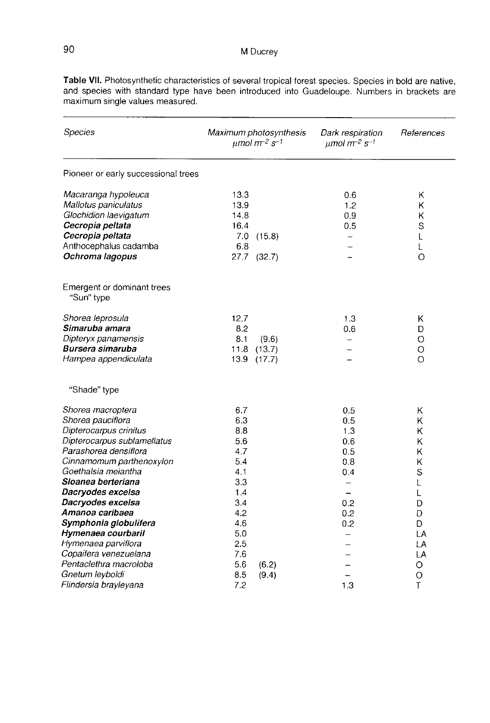| <b>Species</b>                                                                                                                                                                                                                                                                                                                                                |                                                                                                       | Maximum photosynthesis<br>$\mu$ mol m <sup>-2</sup> s <sup>-1</sup> | Dark respiration<br>$\mu$ mol m <sup>-2</sup> s <sup>-1</sup>                                                                                          | References                                                                 |
|---------------------------------------------------------------------------------------------------------------------------------------------------------------------------------------------------------------------------------------------------------------------------------------------------------------------------------------------------------------|-------------------------------------------------------------------------------------------------------|---------------------------------------------------------------------|--------------------------------------------------------------------------------------------------------------------------------------------------------|----------------------------------------------------------------------------|
| Pioneer or early successional trees                                                                                                                                                                                                                                                                                                                           |                                                                                                       |                                                                     |                                                                                                                                                        |                                                                            |
| Macaranga hypoleuca<br>Mallotus paniculatus<br>Glochidion laevigatum<br>Cecropia peltata<br>Cecropia peltata<br>Anthocephalus cadamba<br>Ochroma lagopus                                                                                                                                                                                                      | 13.3<br>13.9<br>14.8<br>16.4<br>7.0<br>6.8                                                            | (15.8)<br>27.7 (32.7)                                               | 0.6<br>1.2<br>0.9<br>0.5<br>$\equiv$                                                                                                                   | Κ<br>Κ<br>κ<br>S<br>L<br>L<br>$\circ$                                      |
| Emergent or dominant trees<br>"Sun" type                                                                                                                                                                                                                                                                                                                      |                                                                                                       |                                                                     |                                                                                                                                                        |                                                                            |
| Shorea leprosula<br>Simaruba amara<br>Dipteryx panamensis<br>Bursera simaruba<br>Hampea appendiculata                                                                                                                                                                                                                                                         | 12.7<br>8.2<br>8.1<br>11.8<br>13.9                                                                    | (9.6)<br>(13.7)<br>(17.7)                                           | 1.3<br>0.6                                                                                                                                             | Κ<br>D<br>O<br>O<br>Ο                                                      |
| "Shade" type                                                                                                                                                                                                                                                                                                                                                  |                                                                                                       |                                                                     |                                                                                                                                                        |                                                                            |
| Shorea macroptera<br>Shorea pauciflora<br>Dipterocarpus crinitus<br>Dipterocarpus sublamellatus<br>Parashorea densiflora<br>Cinnamomum parthenoxylon<br>Goethalsia meiantha<br>Sloanea berteriana<br>Dacryodes excelsa<br>Dacryodes excelsa<br>Amanoa caribaea<br>Symphonia globulifera<br>Hymenaea courbaril<br>Hymenaea parviflora<br>Copaifera venezuelana | 6.7<br>6.3<br>8.8<br>5.6<br>4.7<br>5.4<br>4.1<br>3.3<br>1.4<br>3.4<br>4.2<br>4.6<br>5.0<br>2.5<br>7.6 |                                                                     | 0.5<br>0.5<br>1.3<br>0.6<br>0.5<br>0.8<br>0.4<br>$\overline{\phantom{0}}$<br>$\overline{\phantom{0}}$<br>0.2<br>0.2<br>0.2<br>$\overline{\phantom{0}}$ | κ<br>Κ<br>κ<br>ĸ<br>Κ<br>K<br>S<br>L<br>L<br>D<br>D<br>D<br>LA<br>LA<br>LA |
| Pentaclethra macroloba<br>Gnetum leyboldi<br>Flindersia brayleyana                                                                                                                                                                                                                                                                                            | 5.6<br>8.5<br>7.2                                                                                     | (6.2)<br>(9.4)                                                      | 1.3                                                                                                                                                    | O<br>$\circ$<br>T                                                          |

Table VII. Photosynthetic characteristics of several tropical forest species. Species in bold are native, and species with standard type have been introduced into Guadeloupe. Numbers in brackets are maximum single values measured.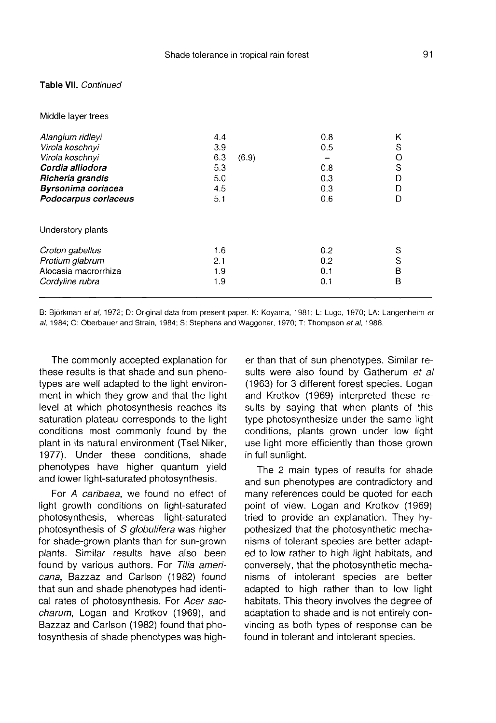#### Table VII. Continued

#### Middle laver trees

| Alangium ridleyi<br>Virola koschnyi<br>Virola koschnyi<br>Cordia alliodora<br>Richeria grandis<br>Byrsonima coriacea<br>Podocarpus coriaceus | 4.4<br>3.9<br>6.3<br>(6.9)<br>5.3<br>5.0<br>4.5<br>5.1 | 0.8<br>0.5<br>0.8<br>0.3<br>0.3<br>0.6 | Κ<br>S<br>O<br>S<br>D<br>D<br>D |
|----------------------------------------------------------------------------------------------------------------------------------------------|--------------------------------------------------------|----------------------------------------|---------------------------------|
| Understory plants                                                                                                                            |                                                        |                                        |                                 |
| Croton gabellus<br>Protium glabrum<br>Alocasia macrorrhiza<br>Cordyline rubra                                                                | 1.6<br>2.1<br>1.9<br>1.9                               | 0.2<br>0.2<br>0.1<br>0,1               | S<br>S<br>B<br>B                |

B: Björkman et al, 1972; D: Original data from present paper. K: Koyama, 1981; L: Lugo, 1970; LA: Langenheim et al, 1984; O: Oberbauer and Strain, 1984; S: Stephens and Waggoner, 1970; T: Thompson et al, 1988.

The commonly accepted explanation for these results is that shade and sun phenotypes are well adapted to the light environment in which they grow and that the light level at which photosynthesis reaches its saturation plateau corresponds to the light conditions most commonly found by the plant in its natural environment (Tsel'Niker, 1977). Under these conditions, shade phenotypes have higher quantum yield and lower light-saturated photosynthesis.

For A caribaea, we found no effect of light growth conditions on light-saturated photosynthesis, whereas light-saturated photosynthesis of S *globulifera* was higher for shade-grown plants than for sun-grown plants. Similar results have also been found by various authors. For Tilia americana, Bazzaz and Carlson (1982) found that sun and shade phenotypes had identical rates of photosynthesis. For Acer saccharum, Logan and Krotkov (1969), and Bazzaz and Carlson (1982) found that photosynthesis of shade phenotypes was higher than that of sun phenotypes. Similar results were also found by Gatherum et all (1963) for 3 different forest species. Logan and Krotkov (1969) interpreted these results by saying that when plants of this type photosynthesize under the same light conditions, plants grown under low light use light more efficiently than those grown in full sunlight.

The 2 main types of results for shade and sun phenotypes are contradictory and many references could be quoted for each point of view. Logan and Krotkov (1969) tried to provide an explanation. They hypothesized that the photosynthetic mechanisms of tolerant species are better adapted to low rather to high light habitats, and conversely, that the photosynthetic mechanisms of intolerant species are better adapted to high rather than to low light habitats. This theory involves the degree of adaptation to shade and is not entirely convincing as both types of response can be found in tolerant and intolerant species.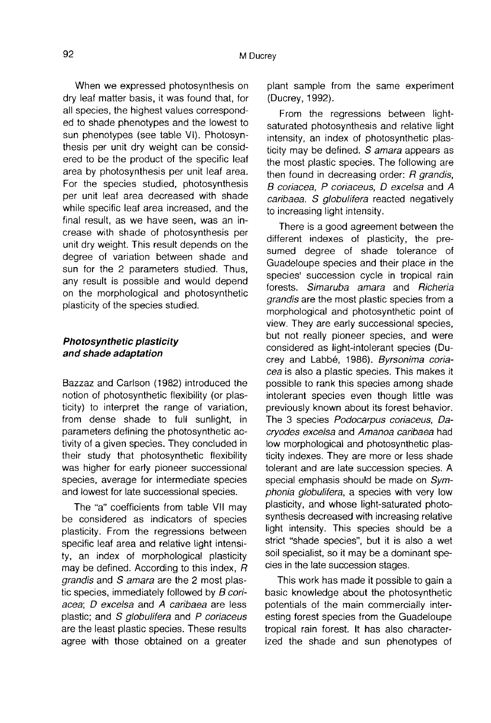When we expressed photosynthesis on dry leaf matter basis, it was found that, for all species, the highest values corresponded to shade phenotypes and the lowest to sun phenotypes (see table VI). Photosynthesis per unit dry weight can be considered to be the product of the specific leaf area by photosynthesis per unit leaf area. For the species studied, photosynthesis per unit leaf area decreased with shade while specific leaf area increased, and the final result, as we have seen, was an increase with shade of photosynthesis per unit dry weight. This result depends on the degree of variation between shade and sun for the 2 parameters studied. Thus, any result is possible and would depend on the morphological and photosynthetic plasticity of the species studied.

#### Photosynthetic plasticity and shade adaptation

Bazzaz and Carlson (1982) introduced the notion of photosynthetic flexibility (or plasticity) to interpret the range of variation, from dense shade to full sunlight, in parameters defining the photosynthetic activity of a given species. They concluded in their study that photosynthetic flexibility was higher for early pioneer successional species, average for intermediate species and lowest for late successional species.

The "a" coefficients from table VII may be considered as indicators of species plasticity. From the regressions between specific leaf area and relative light intensity, an index of morphological plasticity may be defined. According to this index, R grandis and S amara are the 2 most plastic species, immediately followed by B coriacea; D excelsa and A caribaea are less plastic; and S globulifera and P coriaceus are the least plastic species. These results agree with those obtained on a greater

plant sample from the same experiment (Ducrey, 1992).

From the regressions between lightsaturated photosynthesis and relative light intensity, an index of photosynthetic plasticity may be defined. S amara appears as the most plastic species. The following are then found in decreasing order:  $R$  grandis, B coriacea, P coriaceus, D excelsa and A caribaea. S globulifera reacted negatively to increasing light intensity.

There is a good agreement between the different indexes of plasticity, the presumed degree of shade tolerance of Guadeloupe species and their place in the species' succession cycle in tropical rain forests. Simaruba amara and Richeria grandis are the most plastic species from a morphological and photosynthetic point of view. They are early successional species, but not really pioneer species, and were considered as light-intolerant species (Ducrey and Labbé, 1986). Byrsonima coriacea is also a plastic species. This makes it possible to rank this species among shade intolerant species even though little was previously known about its forest behavior. The 3 species Podocarpus coriaceus, Dacryodes excelsa and Amanoa caribaea had low morphological and photosynthetic plasticity indexes. They are more or less shade tolerant and are late succession species. A special emphasis should be made on Symphonia globulifera, a species with very low plasticity, and whose light-saturated photosynthesis decreased with increasing relative light intensity. This species should be a strict "shade species", but it is also a wet soil specialist, so it may be a dominant species in the late succession stages.

This work has made it possible to gain a basic knowledge about the photosynthetic potentials of the main commercially interesting forest species from the Guadeloupe tropical rain forest. It has also characterized the shade and sun phenotypes of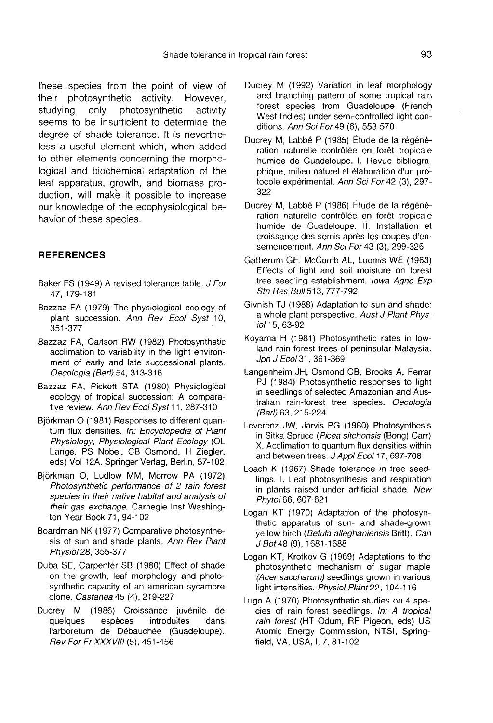these species from the point of view of<br>their photosynthetic activity. However, their photosynthetic activity.<br>studying only photosynthet photosynthetic activity seems to be insufficient to determine the degree of shade tolerance. It is nevertheless a useful element which, when added to other elements concerning the morphological and biochemical adaptation of the leaf apparatus, growth, and biomass production, will make it possible to increase our knowledge of the ecophysiological behavior of these species.

#### **REFERENCES**

- Baker FS (1949) A revised tolerance table. J For 47, 179-181
- Bazzaz FA (1979) The physiological ecology of plant succession. Ann Rev Ecol Syst 10, 351-377
- Bazzaz FA, Carlson RW (1982) Photosynthetic acclimation to variability in the light environment of early and late successional plants. Oecologia (Berl) 54, 313-316
- Bazzaz FA, Pickett STA (1980) Physiological ecology of tropical succession: A comparative review. Ann Rev Ecol Syst 11, 287-310
- Björkman O (1981) Responses to different quantum flux densities. In: Encyclopedia of Plant Physiology, Physiological Plant Ecology (OL Lange, PS Nobel, CB Osmond, H Ziegler, eds) Vol 12A. Springer Verlag, Berlin, 57-102
- Björkman O, Ludlow MM, Morrow PA (1972) Photosynthetic performance of 2 rain forest species in their native habitat and analysis of their gas exchange. Carnegie Inst Washing ton Year Book 71, 94-102
- Boardman NK (1977) Comparative photosynthesis of sun and shade plants. Ann Rev Plant Physiol 28, 355-377
- Duba SE, Carpenter SB (1980) Effect of shade on the growth, leaf morphology and photosynthetic capacity of an american sycamore clone. Castanea 45 (4), 219-227
- Ducrey M (1986) Croissance juvénile de quelques I'arboretum de Débauchée (Guadeloupe). Rev For Fr XXXVIII (5), 451-456
- Ducrey M (1992) Variation in leaf morphology and branching pattern of some tropical rain forest species from Guadeloupe (French West Indies) under semi-controlled light conditions. Ann Sci For 49 (6), 553-570
- Ducrey M, Labbé P (1985) Étude de la régénération naturelle contrôlée en forêt tropicale humide de Guadeloupe. I. Revue bibliographique, milieu naturel et élaboration d'un protocole expérimental. Ann Sci For 42 (3), 297- 322
- Ducrey M, Labbé P (1986) Étude de la régénération naturelle contrôlée en forêt tropicale humide de Guadeloupe. II. Installation et croissance des semis après les coupes d'ensemencement. Ann Sci For 43 (3), 299-326
- Gatherum GE, McComb AL, Loomis WE (1963) Effects of light and soil moisture on forest tree seedling establishment. Iowa Agric Exp Stn Res Bull 513, 777-792
- Givnish TJ (1988) Adaptation to sun and shade: a whole plant perspective. Aust J Plant Physiol 15, 63-92
- Koyama H (1981) Photosynthetic rates in lowland rain forest trees of peninsular Malaysia. Jpn J Ecol 31, 361-369
- Langenheim JH, Osmond CB, Brooks A, Ferrar PJ (1984) Photosynthetic responses to light in seedlings of selected Amazonian and Australian rain-forest tree species. Oecologia (Berl) 63, 215-224
- Leverenz JW, Jarvis PG (1980) Photosynthesis in Sitka Spruce (Picea sitchensis (Bong) Carr) X. Acclimation to quantum flux densities within and between trees. J Appl Ecol 17, 697-708
- Loach K (1967) Shade tolerance in tree seedlings. I. Leaf photosynthesis and respiration in plants raised under artificial shade. New Phytol 66, 607-621
- Logan KT (1970) Adaptation of the photosynthetic apparatus of sun- and shade-grown yellow birch (Betula alleghaniensis Britt). Can J Bot 48 (9), 1681-1688
- Logan KT, Krotkov G (1969) Adaptations to the photosynthetic mechanism of sugar maple (Acer saccharum) seedlings grown in various light intensities. Physiol Plant 22, 104-116
- Lugo A (1970) Photosynthetic studies on 4 species of rain forest seedlings. In: A tropical rain forest (HT Odum, RF Pigeon, eds) US Atomic Energy Commission, NTSI, Springfield, VA, USA, I, 7, 81-102